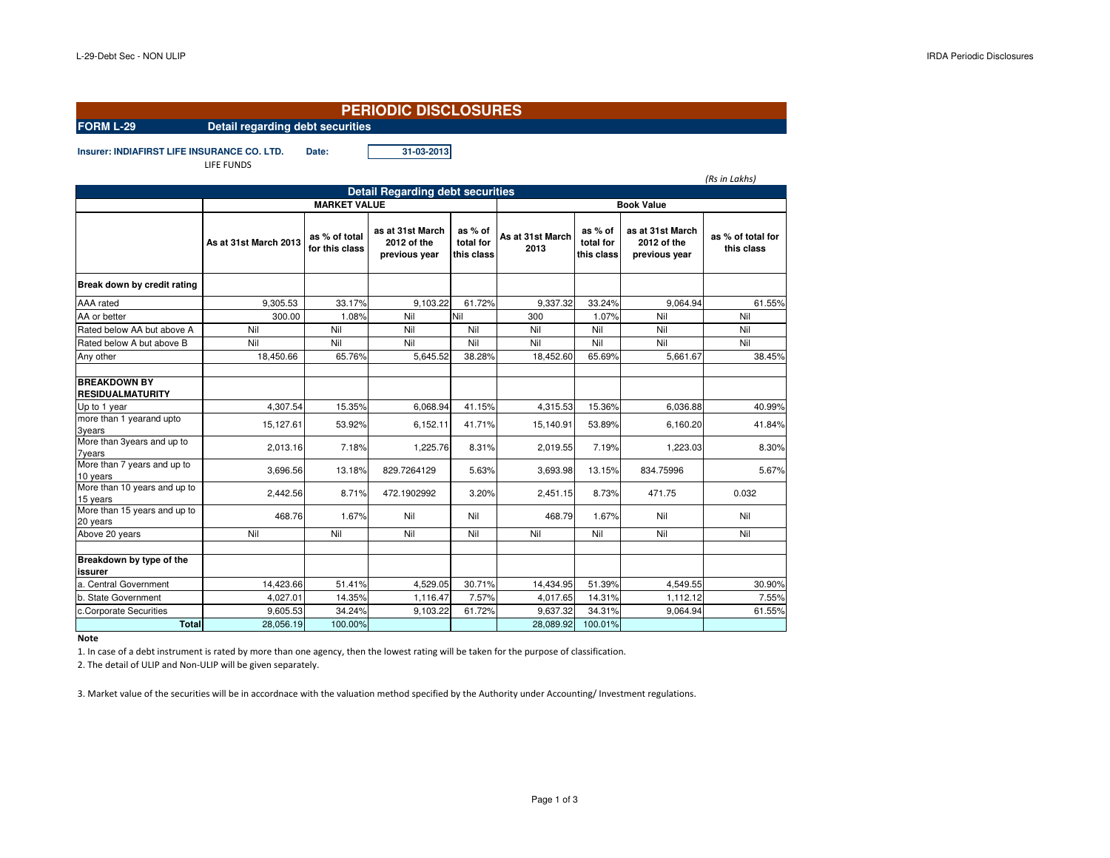## **FORM L-29 Detail regarding debt securitiesPERIODIC DISCLOSURES**

**Insurer: INDIAFIRST LIFE INSURANCE CO. LTD. Date: 31-03-2013**

LIFE FUNDS

|                                                |                       |                                 |                                                  |                                    |                          |                                    |                                                  | (Rs in Lakhs)                   |  |  |  |
|------------------------------------------------|-----------------------|---------------------------------|--------------------------------------------------|------------------------------------|--------------------------|------------------------------------|--------------------------------------------------|---------------------------------|--|--|--|
| <b>Detail Regarding debt securities</b>        |                       |                                 |                                                  |                                    |                          |                                    |                                                  |                                 |  |  |  |
|                                                | <b>MARKET VALUE</b>   |                                 |                                                  |                                    | <b>Book Value</b>        |                                    |                                                  |                                 |  |  |  |
|                                                | As at 31st March 2013 | as % of total<br>for this class | as at 31st March<br>2012 of the<br>previous year | as % of<br>total for<br>this class | As at 31st March<br>2013 | as % of<br>total for<br>this class | as at 31st March<br>2012 of the<br>previous year | as % of total for<br>this class |  |  |  |
| Break down by credit rating                    |                       |                                 |                                                  |                                    |                          |                                    |                                                  |                                 |  |  |  |
| AAA rated                                      | 9.305.53              | 33.17%                          | 9.103.22                                         | 61.72%                             | 9,337.32                 | 33.24%                             | 9.064.94                                         | 61.55%                          |  |  |  |
| AA or better                                   | 300.00                | 1.08%                           | Nil                                              | Nil                                | 300                      | 1.07%                              | Nil                                              | Nil                             |  |  |  |
| Rated below AA but above A                     | Nil                   | Nil                             | Nil                                              | Nil                                | Nil                      | Nil                                | Nil                                              | Nil                             |  |  |  |
| Rated below A but above B                      | Nil                   | Nil                             | Nil                                              | Nil                                | Nil                      | Nil                                | Nil                                              | Nil                             |  |  |  |
| Any other                                      | 18,450.66             | 65.76%                          | 5,645.52                                         | 38.28%                             | 18,452.60                | 65.69%                             | 5,661.67                                         | 38.45%                          |  |  |  |
| <b>BREAKDOWN BY</b><br><b>RESIDUALMATURITY</b> |                       |                                 |                                                  |                                    |                          |                                    |                                                  |                                 |  |  |  |
| Up to 1 year                                   | 4,307.54              | 15.35%                          | 6,068.94                                         | 41.15%                             | 4,315.53                 | 15.36%                             | 6,036.88                                         | 40.99%                          |  |  |  |
| more than 1 yearand upto<br><b>3years</b>      | 15,127.61             | 53.92%                          | 6,152.11                                         | 41.71%                             | 15,140.91                | 53.89%                             | 6,160.20                                         | 41.84%                          |  |  |  |
| More than 3years and up to<br><b>7years</b>    | 2,013.16              | 7.18%                           | 1,225.76                                         | 8.31%                              | 2,019.55                 | 7.19%                              | 1,223.03                                         | 8.30%                           |  |  |  |
| More than 7 years and up to<br>10 years        | 3.696.56              | 13.18%                          | 829.7264129                                      | 5.63%                              | 3.693.98                 | 13.15%                             | 834.75996                                        | 5.67%                           |  |  |  |
| More than 10 years and up to<br>15 years       | 2.442.56              | 8.71%                           | 472.1902992                                      | 3.20%                              | 2.451.15                 | 8.73%                              | 471.75                                           | 0.032                           |  |  |  |
| More than 15 years and up to<br>20 years       | 468.76                | 1.67%                           | Nil                                              | Nil                                | 468.79                   | 1.67%                              | Nil                                              | Nil                             |  |  |  |
| Above 20 years                                 | Nil                   | Nil                             | Nil                                              | Nil                                | Nil                      | Nil                                | Nil                                              | Nil                             |  |  |  |
| Breakdown by type of the<br>issurer            |                       |                                 |                                                  |                                    |                          |                                    |                                                  |                                 |  |  |  |
| a. Central Government                          | 14,423.66             | 51.41%                          | 4,529.05                                         | 30.71%                             | 14,434.95                | 51.39%                             | 4.549.55                                         | 30.90%                          |  |  |  |
| b. State Government                            | 4,027.01              | 14.35%                          | 1.116.47                                         | 7.57%                              | 4,017.65                 | 14.31%                             | 1.112.12                                         | 7.55%                           |  |  |  |
| c.Corporate Securities                         | 9.605.53              | 34.24%                          | 9,103.22                                         | 61.72%                             | 9.637.32                 | 34.31%                             | 9.064.94                                         | 61.55%                          |  |  |  |
| <b>Total</b>                                   | 28,056.19             | 100.00%                         |                                                  |                                    | 28,089.92                | 100.01%                            |                                                  |                                 |  |  |  |

**Note**

1. In case of a debt instrument is rated by more than one agency, then the lowest rating will be taken for the purpose of classification.

2. The detail of ULIP and Non-ULIP will be given separately.

3. Market value of the securities will be in accordnace with the valuation method specified by the Authority under Accounting/ Investment regulations.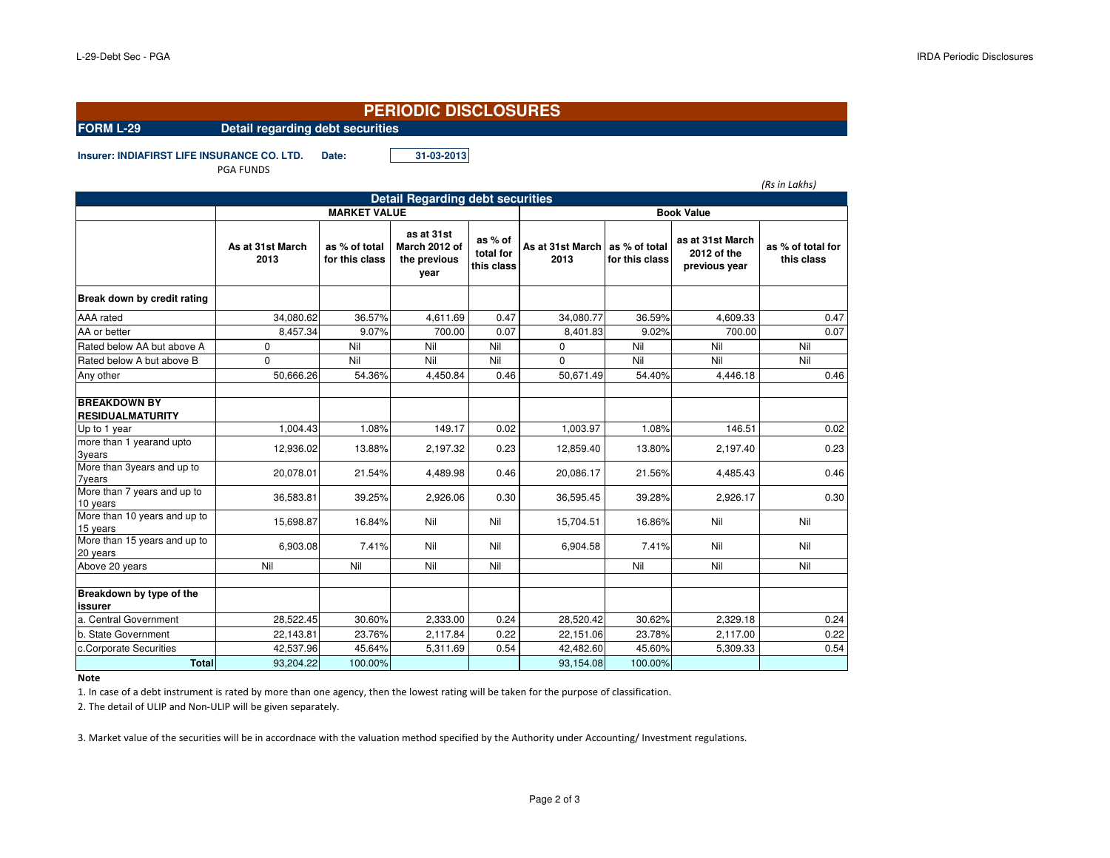## **PERIODIC DISCLOSURES**

## **FORM L-29 Detail regarding debt securities**

**Insurer: INDIAFIRST LIFE INSURANCE CO. LTD. Date: 31-03-2013**

PGA FUNDS

|                                                |                          |                                 |                                                     |                                    |                          |                                 |                                                  | (Rs in Lakhs)                   |  |  |
|------------------------------------------------|--------------------------|---------------------------------|-----------------------------------------------------|------------------------------------|--------------------------|---------------------------------|--------------------------------------------------|---------------------------------|--|--|
|                                                |                          |                                 | <b>Detail Regarding debt securities</b>             |                                    |                          |                                 |                                                  |                                 |  |  |
|                                                | <b>MARKET VALUE</b>      |                                 |                                                     |                                    | <b>Book Value</b>        |                                 |                                                  |                                 |  |  |
|                                                | As at 31st March<br>2013 | as % of total<br>for this class | as at 31st<br>March 2012 of<br>the previous<br>year | as % of<br>total for<br>this class | As at 31st March<br>2013 | as % of total<br>for this class | as at 31st March<br>2012 of the<br>previous year | as % of total for<br>this class |  |  |
| Break down by credit rating                    |                          |                                 |                                                     |                                    |                          |                                 |                                                  |                                 |  |  |
| <b>AAA</b> rated                               | 34.080.62                | 36.57%                          | 4.611.69                                            | 0.47                               | 34,080.77                | 36.59%                          | 4.609.33                                         | 0.47                            |  |  |
| AA or better                                   | 8,457.34                 | 9.07%                           | 700.00                                              | 0.07                               | 8,401.83                 | 9.02%                           | 700.00                                           | 0.07                            |  |  |
| Rated below AA but above A                     | $\mathbf 0$              | Nil                             | Nil                                                 | Nil                                | $\Omega$                 | Nil                             | Nil                                              | Nil                             |  |  |
| Rated below A but above B                      | $\Omega$                 | Nil                             | Nil                                                 | Nil                                | $\Omega$                 | Nil                             | Nil                                              | Nil                             |  |  |
| Any other                                      | 50,666.26                | 54.36%                          | 4,450.84                                            | 0.46                               | 50,671.49                | 54.40%                          | 4,446.18                                         | 0.46                            |  |  |
| <b>BREAKDOWN BY</b><br><b>RESIDUALMATURITY</b> |                          |                                 |                                                     |                                    |                          |                                 |                                                  |                                 |  |  |
| Up to 1 year                                   | 1,004.43                 | 1.08%                           | 149.17                                              | 0.02                               | 1,003.97                 | 1.08%                           | 146.51                                           | 0.02                            |  |  |
| more than 1 yearand upto<br>3years             | 12,936.02                | 13.88%                          | 2,197.32                                            | 0.23                               | 12,859.40                | 13.80%                          | 2,197.40                                         | 0.23                            |  |  |
| More than 3years and up to<br><b>7years</b>    | 20,078.01                | 21.54%                          | 4,489.98                                            | 0.46                               | 20,086.17                | 21.56%                          | 4.485.43                                         | 0.46                            |  |  |
| More than 7 years and up to<br>10 years        | 36,583.81                | 39.25%                          | 2,926.06                                            | 0.30                               | 36,595.45                | 39.28%                          | 2,926.17                                         | 0.30                            |  |  |
| More than 10 years and up to<br>15 years       | 15,698.87                | 16.84%                          | Nil                                                 | Nil                                | 15,704.51                | 16.86%                          | Nil                                              | Nil                             |  |  |
| More than 15 years and up to<br>20 years       | 6,903.08                 | 7.41%                           | Nil                                                 | Nil                                | 6,904.58                 | 7.41%                           | Nil                                              | Nil                             |  |  |
| Above 20 years                                 | Nil                      | Nil                             | Nil                                                 | Nil                                |                          | Nil                             | Nil                                              | Nil                             |  |  |
| Breakdown by type of the<br><b>issurer</b>     |                          |                                 |                                                     |                                    |                          |                                 |                                                  |                                 |  |  |
| a. Central Government                          | 28,522.45                | 30.60%                          | 2,333.00                                            | 0.24                               | 28,520.42                | 30.62%                          | 2,329.18                                         | 0.24                            |  |  |
| b. State Government                            | 22,143.81                | 23.76%                          | 2,117.84                                            | 0.22                               | 22,151.06                | 23.78%                          | 2,117.00                                         | 0.22                            |  |  |
| c.Corporate Securities                         | 42,537.96                | 45.64%                          | 5,311.69                                            | 0.54                               | 42,482.60                | 45.60%                          | 5,309.33                                         | 0.54                            |  |  |
| <b>Total</b>                                   | 93,204.22                | 100.00%                         |                                                     |                                    | 93,154.08                | 100.00%                         |                                                  |                                 |  |  |

**Note**

1. In case of a debt instrument is rated by more than one agency, then the lowest rating will be taken for the purpose of classification.

2. The detail of ULIP and Non-ULIP will be given separately.

3. Market value of the securities will be in accordnace with the valuation method specified by the Authority under Accounting/ Investment regulations.